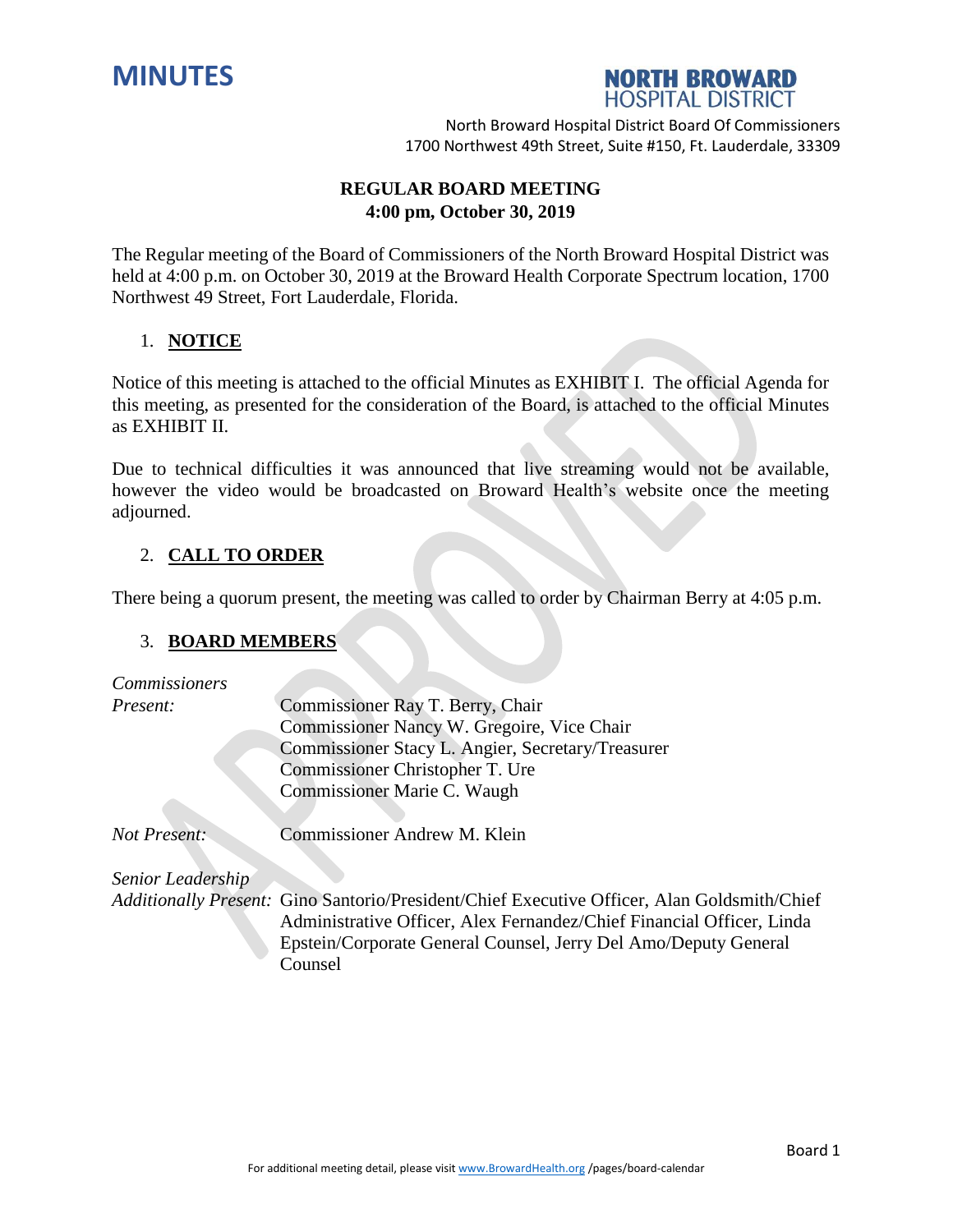



# **REGULAR BOARD MEETING 4:00 pm, October 30, 2019**

The Regular meeting of the Board of Commissioners of the North Broward Hospital District was held at 4:00 p.m. on October 30, 2019 at the Broward Health Corporate Spectrum location, 1700 Northwest 49 Street, Fort Lauderdale, Florida.

# 1. **NOTICE**

Notice of this meeting is attached to the official Minutes as EXHIBIT I. The official Agenda for this meeting, as presented for the consideration of the Board, is attached to the official Minutes as EXHIBIT II.

Due to technical difficulties it was announced that live streaming would not be available, however the video would be broadcasted on Broward Health's website once the meeting adjourned.

# 2. **CALL TO ORDER**

There being a quorum present, the meeting was called to order by Chairman Berry at 4:05 p.m.

### 3. **BOARD MEMBERS**

| <b>Commissioners</b> |                                                                                                                                                                      |
|----------------------|----------------------------------------------------------------------------------------------------------------------------------------------------------------------|
| Present:             | Commissioner Ray T. Berry, Chair                                                                                                                                     |
|                      | Commissioner Nancy W. Gregoire, Vice Chair                                                                                                                           |
|                      | Commissioner Stacy L. Angier, Secretary/Treasurer                                                                                                                    |
|                      | Commissioner Christopher T. Ure                                                                                                                                      |
|                      | Commissioner Marie C. Waugh                                                                                                                                          |
| <b>Not Present:</b>  | Commissioner Andrew M. Klein                                                                                                                                         |
| Senior Leadership    |                                                                                                                                                                      |
|                      | Additionally Present: Gino Santorio/President/Chief Executive Officer, Alan Goldsmith/Chief<br>Administrative Officer, Alex Fernandez/Chief Financial Officer, Linda |
|                      | Epstein/Corporate General Counsel, Jerry Del Amo/Deputy General                                                                                                      |
|                      | Counsel                                                                                                                                                              |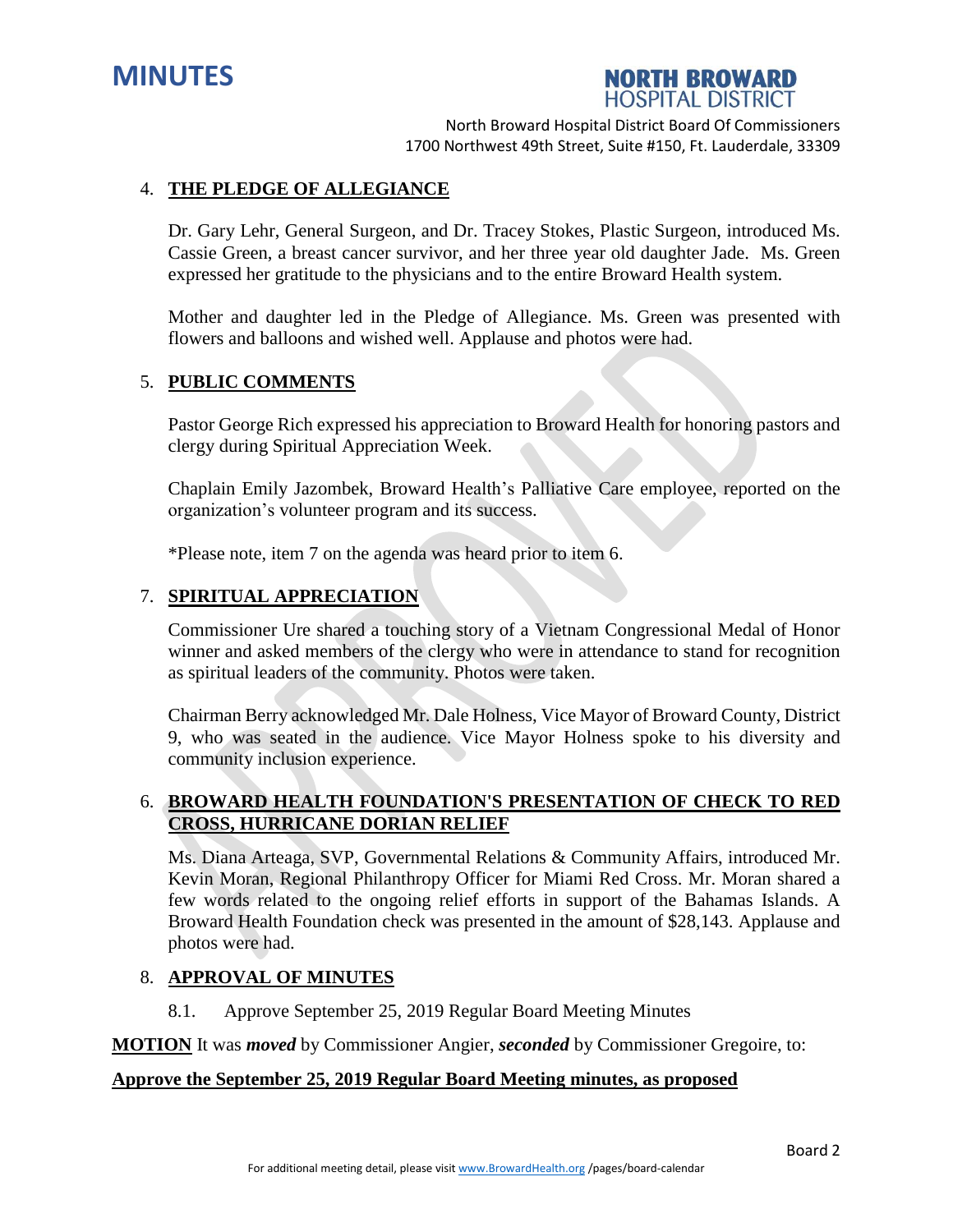



### 4. **THE PLEDGE OF ALLEGIANCE**

Dr. Gary Lehr, General Surgeon, and Dr. Tracey Stokes, Plastic Surgeon, introduced Ms. Cassie Green, a breast cancer survivor, and her three year old daughter Jade. Ms. Green expressed her gratitude to the physicians and to the entire Broward Health system.

Mother and daughter led in the Pledge of Allegiance. Ms. Green was presented with flowers and balloons and wished well. Applause and photos were had.

### 5. **PUBLIC COMMENTS**

Pastor George Rich expressed his appreciation to Broward Health for honoring pastors and clergy during Spiritual Appreciation Week.

Chaplain Emily Jazombek, Broward Health's Palliative Care employee, reported on the organization's volunteer program and its success.

\*Please note, item 7 on the agenda was heard prior to item 6.

### 7. **SPIRITUAL APPRECIATION**

Commissioner Ure shared a touching story of a Vietnam Congressional Medal of Honor winner and asked members of the clergy who were in attendance to stand for recognition as spiritual leaders of the community. Photos were taken.

Chairman Berry acknowledged Mr. Dale Holness, Vice Mayor of Broward County, District 9, who was seated in the audience. Vice Mayor Holness spoke to his diversity and community inclusion experience.

# 6. **BROWARD HEALTH FOUNDATION'S PRESENTATION OF CHECK TO RED CROSS, HURRICANE DORIAN RELIEF**

Ms. Diana Arteaga, SVP, Governmental Relations & Community Affairs, introduced Mr. Kevin Moran, Regional Philanthropy Officer for Miami Red Cross. Mr. Moran shared a few words related to the ongoing relief efforts in support of the Bahamas Islands. A Broward Health Foundation check was presented in the amount of \$28,143. Applause and photos were had.

#### 8. **APPROVAL OF MINUTES**

8.1. Approve September 25, 2019 Regular Board Meeting Minutes

**MOTION** It was *moved* by Commissioner Angier, *seconded* by Commissioner Gregoire, to:

# **Approve the September 25, 2019 Regular Board Meeting minutes, as proposed**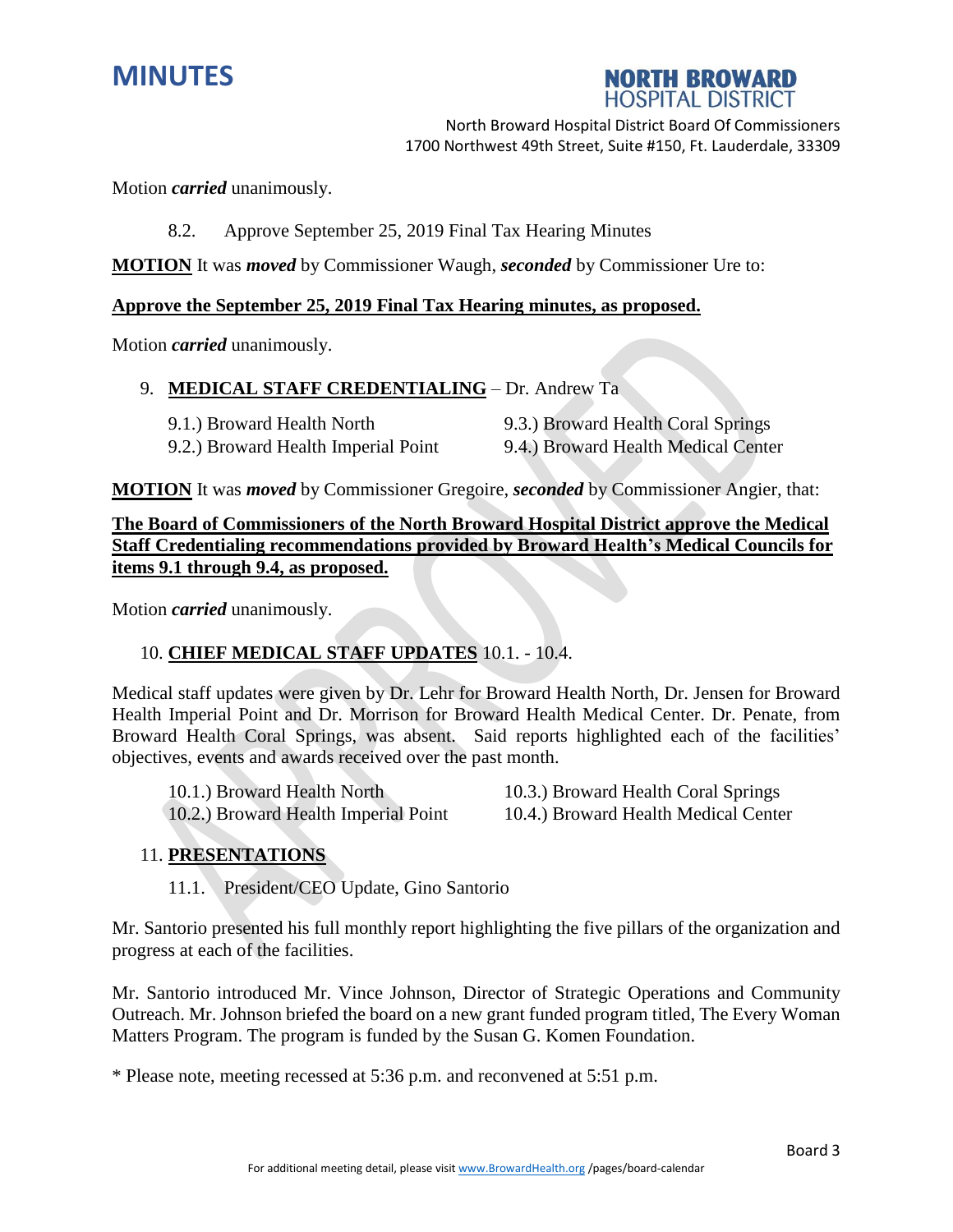



Motion *carried* unanimously.

8.2. Approve September 25, 2019 Final Tax Hearing Minutes

**MOTION** It was *moved* by Commissioner Waugh, *seconded* by Commissioner Ure to:

### **Approve the September 25, 2019 Final Tax Hearing minutes, as proposed.**

Motion *carried* unanimously.

### 9. **MEDICAL STAFF CREDENTIALING** – Dr. Andrew Ta

| 9.1.) Broward Health North          | 9.3.) Broward Health Coral Springs  |
|-------------------------------------|-------------------------------------|
| 9.2.) Broward Health Imperial Point | 9.4.) Broward Health Medical Center |

**MOTION** It was *moved* by Commissioner Gregoire, *seconded* by Commissioner Angier, that:

**The Board of Commissioners of the North Broward Hospital District approve the Medical Staff Credentialing recommendations provided by Broward Health's Medical Councils for items 9.1 through 9.4, as proposed.**

Motion *carried* unanimously.

# 10. **CHIEF MEDICAL STAFF UPDATES** 10.1. - 10.4.

Medical staff updates were given by Dr. Lehr for Broward Health North, Dr. Jensen for Broward Health Imperial Point and Dr. Morrison for Broward Health Medical Center. Dr. Penate, from Broward Health Coral Springs, was absent. Said reports highlighted each of the facilities' objectives, events and awards received over the past month.

10.1.) Broward Health North 10.3.) Broward Health Coral Springs 10.2.) Broward Health Imperial Point 10.4.) Broward Health Medical Center

# 11. **PRESENTATIONS**

11.1. President/CEO Update, Gino Santorio

Mr. Santorio presented his full monthly report highlighting the five pillars of the organization and progress at each of the facilities.

Mr. Santorio introduced Mr. Vince Johnson, Director of Strategic Operations and Community Outreach. Mr. Johnson briefed the board on a new grant funded program titled, The Every Woman Matters Program. The program is funded by the Susan G. Komen Foundation.

\* Please note, meeting recessed at 5:36 p.m. and reconvened at 5:51 p.m.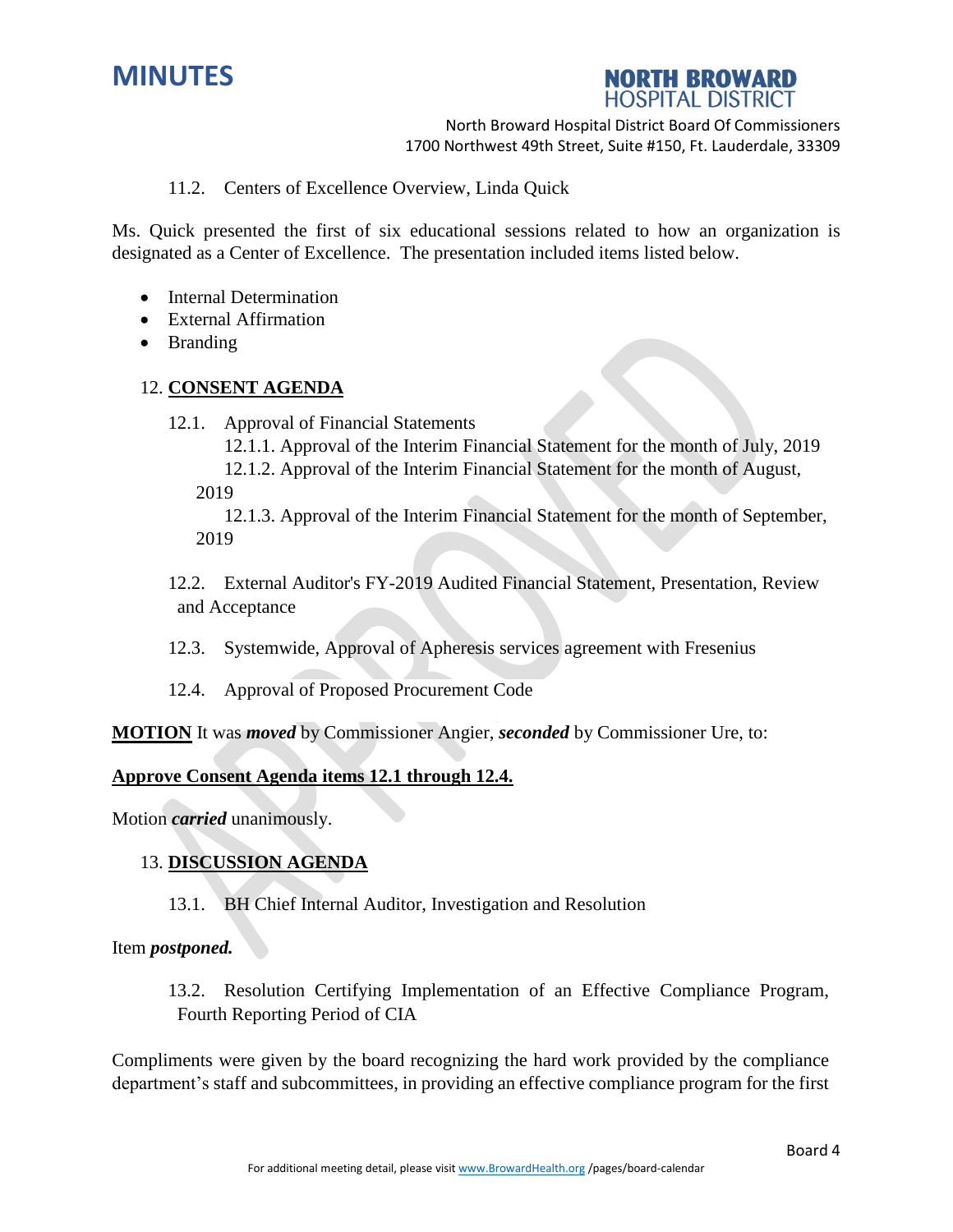



11.2. Centers of Excellence Overview, Linda Quick

Ms. Quick presented the first of six educational sessions related to how an organization is designated as a Center of Excellence. The presentation included items listed below.

- Internal Determination
- External Affirmation
- Branding

### 12. **CONSENT AGENDA**

12.1. Approval of Financial Statements

12.1.1. Approval of the Interim Financial Statement for the month of July, 2019

12.1.2. Approval of the Interim Financial Statement for the month of August, 2019

12.1.3. Approval of the Interim Financial Statement for the month of September, 2019

12.2. External Auditor's FY-2019 Audited Financial Statement, Presentation, Review and Acceptance

12.3. Systemwide, Approval of Apheresis services agreement with Fresenius

12.4. Approval of Proposed Procurement Code

**MOTION** It was *moved* by Commissioner Angier, *seconded* by Commissioner Ure, to:

#### **Approve Consent Agenda items 12.1 through 12.4.**

Motion *carried* unanimously.

### 13. **DISCUSSION AGENDA**

13.1. BH Chief Internal Auditor, Investigation and Resolution

#### Item *postponed.*

13.2. Resolution Certifying Implementation of an Effective Compliance Program, Fourth Reporting Period of CIA

Compliments were given by the board recognizing the hard work provided by the compliance department's staff and subcommittees, in providing an effective compliance program for the first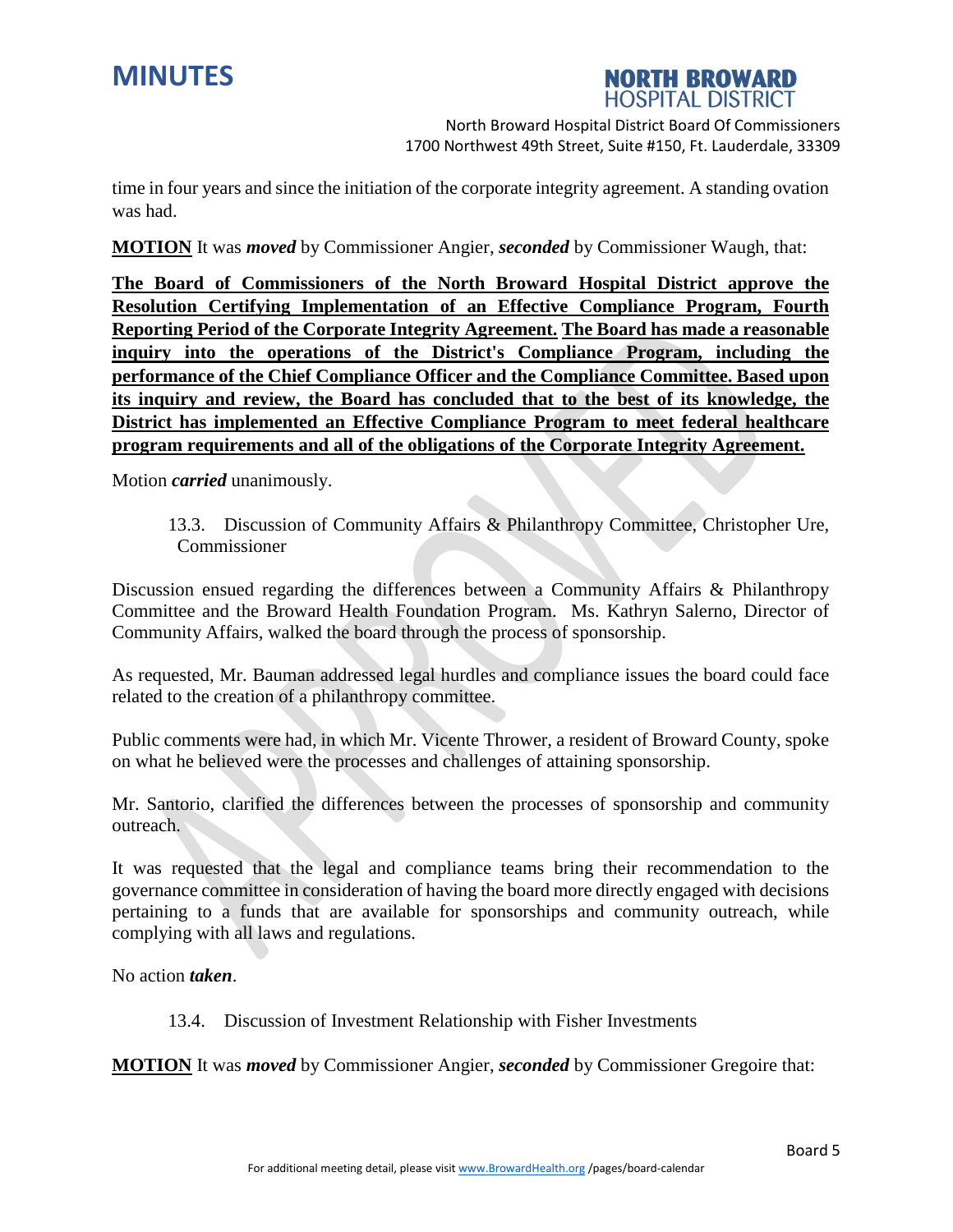



time in four years and since the initiation of the corporate integrity agreement. A standing ovation was had.

**MOTION** It was *moved* by Commissioner Angier, *seconded* by Commissioner Waugh, that:

**The Board of Commissioners of the North Broward Hospital District approve the Resolution Certifying Implementation of an Effective Compliance Program, Fourth Reporting Period of the Corporate Integrity Agreement. The Board has made a reasonable inquiry into the operations of the District's Compliance Program, including the performance of the Chief Compliance Officer and the Compliance Committee. Based upon its inquiry and review, the Board has concluded that to the best of its knowledge, the District has implemented an Effective Compliance Program to meet federal healthcare program requirements and all of the obligations of the Corporate Integrity Agreement.**

Motion *carried* unanimously.

13.3. Discussion of Community Affairs & Philanthropy Committee, Christopher Ure, Commissioner

Discussion ensued regarding the differences between a Community Affairs & Philanthropy Committee and the Broward Health Foundation Program. Ms. Kathryn Salerno, Director of Community Affairs, walked the board through the process of sponsorship.

As requested, Mr. Bauman addressed legal hurdles and compliance issues the board could face related to the creation of a philanthropy committee.

Public comments were had, in which Mr. Vicente Thrower, a resident of Broward County, spoke on what he believed were the processes and challenges of attaining sponsorship.

Mr. Santorio, clarified the differences between the processes of sponsorship and community outreach.

It was requested that the legal and compliance teams bring their recommendation to the governance committee in consideration of having the board more directly engaged with decisions pertaining to a funds that are available for sponsorships and community outreach, while complying with all laws and regulations.

No action *taken*.

13.4. Discussion of Investment Relationship with Fisher Investments

**MOTION** It was *moved* by Commissioner Angier, *seconded* by Commissioner Gregoire that: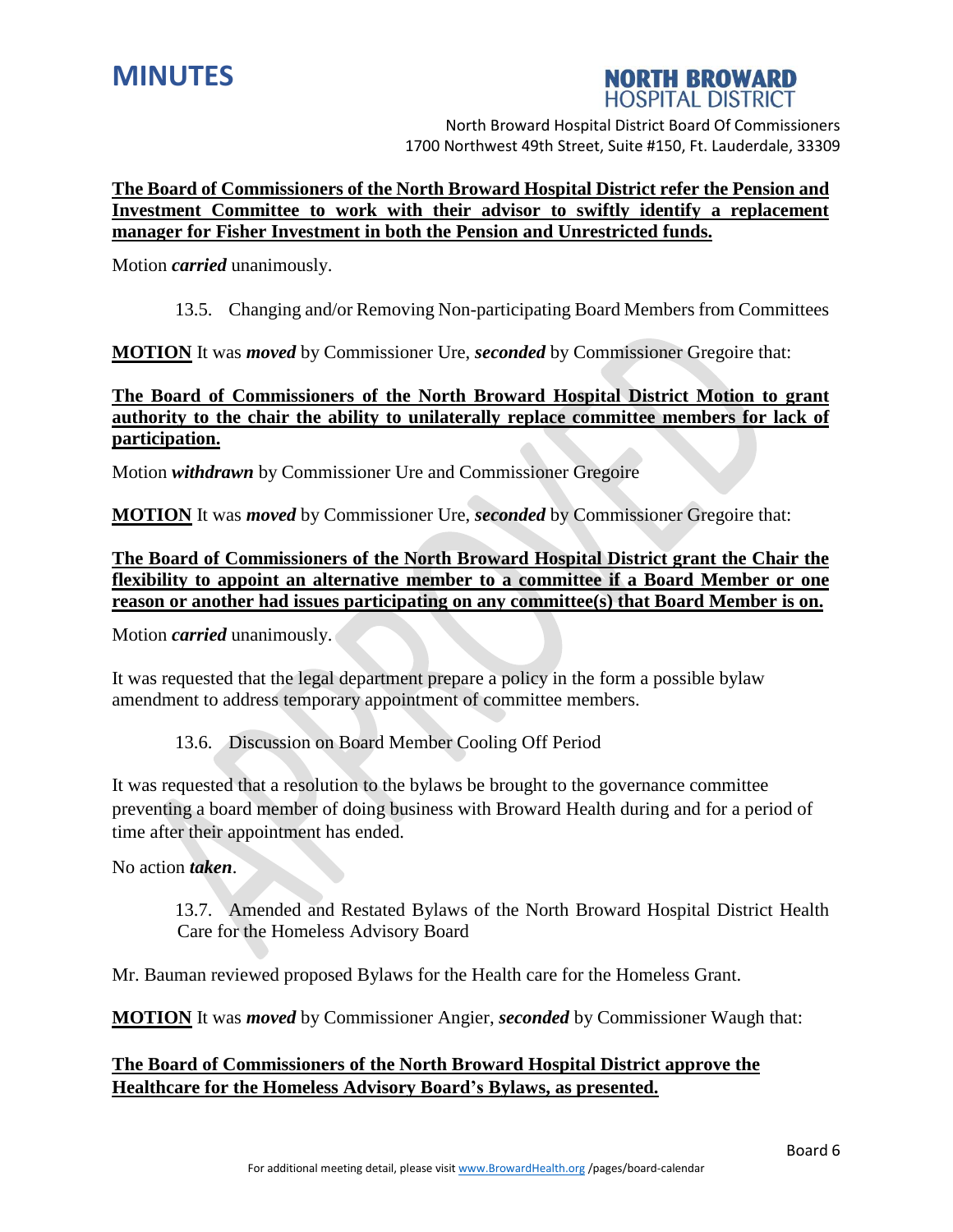

# **NORTH BROWARD HOSPITAL DISTRICT**

North Broward Hospital District Board Of Commissioners 1700 Northwest 49th Street, Suite #150, Ft. Lauderdale, 33309

# **The Board of Commissioners of the North Broward Hospital District refer the Pension and Investment Committee to work with their advisor to swiftly identify a replacement manager for Fisher Investment in both the Pension and Unrestricted funds.**

Motion *carried* unanimously.

# 13.5. Changing and/or Removing Non-participating Board Members from Committees

**MOTION** It was *moved* by Commissioner Ure, *seconded* by Commissioner Gregoire that:

# **The Board of Commissioners of the North Broward Hospital District Motion to grant authority to the chair the ability to unilaterally replace committee members for lack of participation.**

Motion *withdrawn* by Commissioner Ure and Commissioner Gregoire

**MOTION** It was *moved* by Commissioner Ure, *seconded* by Commissioner Gregoire that:

**The Board of Commissioners of the North Broward Hospital District grant the Chair the flexibility to appoint an alternative member to a committee if a Board Member or one reason or another had issues participating on any committee(s) that Board Member is on.**

Motion *carried* unanimously.

It was requested that the legal department prepare a policy in the form a possible bylaw amendment to address temporary appointment of committee members.

# 13.6. Discussion on Board Member Cooling Off Period

It was requested that a resolution to the bylaws be brought to the governance committee preventing a board member of doing business with Broward Health during and for a period of time after their appointment has ended.

No action *taken*.

13.7. Amended and Restated Bylaws of the North Broward Hospital District Health Care for the Homeless Advisory Board

Mr. Bauman reviewed proposed Bylaws for the Health care for the Homeless Grant.

**MOTION** It was *moved* by Commissioner Angier, *seconded* by Commissioner Waugh that:

# **The Board of Commissioners of the North Broward Hospital District approve the Healthcare for the Homeless Advisory Board's Bylaws, as presented.**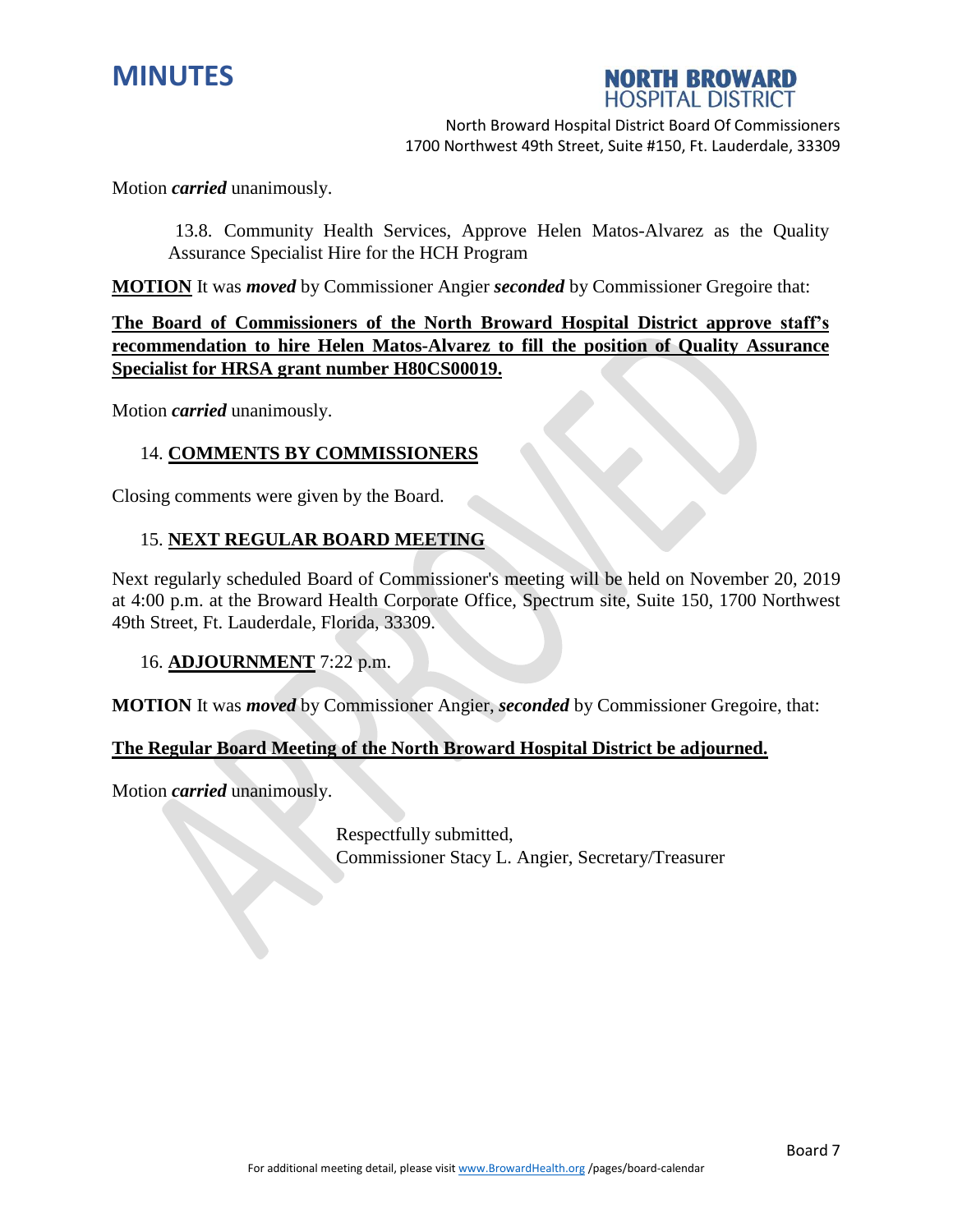



Motion *carried* unanimously.

13.8. Community Health Services, Approve Helen Matos-Alvarez as the Quality Assurance Specialist Hire for the HCH Program

**MOTION** It was *moved* by Commissioner Angier *seconded* by Commissioner Gregoire that:

**The Board of Commissioners of the North Broward Hospital District approve staff's recommendation to hire Helen Matos-Alvarez to fill the position of Quality Assurance Specialist for HRSA grant number H80CS00019.**

Motion *carried* unanimously.

### 14. **COMMENTS BY COMMISSIONERS**

Closing comments were given by the Board.

### 15. **NEXT REGULAR BOARD MEETING**

Next regularly scheduled Board of Commissioner's meeting will be held on November 20, 2019 at 4:00 p.m. at the Broward Health Corporate Office, Spectrum site, Suite 150, 1700 Northwest 49th Street, Ft. Lauderdale, Florida, 33309.

### 16. **ADJOURNMENT** 7:22 p.m.

**MOTION** It was *moved* by Commissioner Angier, *seconded* by Commissioner Gregoire, that:

### **The Regular Board Meeting of the North Broward Hospital District be adjourned.**

Motion *carried* unanimously.

Respectfully submitted, Commissioner Stacy L. Angier, Secretary/Treasurer